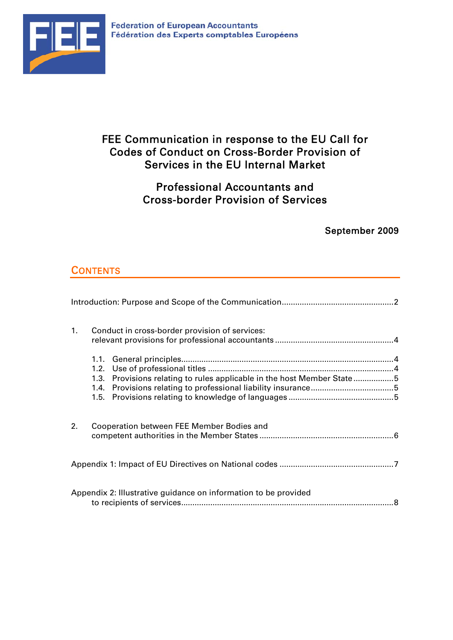

# FEE Communication in response to the EU Call for Codes of Conduct on Cross-Border Provision of Services in the EU Internal Market

# Professional Accountants and Cross-border Provision of Services

## September 2009

# **CONTENTS**

| 1 <sub>1</sub> | Conduct in cross-border provision of services:                          |  |
|----------------|-------------------------------------------------------------------------|--|
|                | 1.3. Provisions relating to rules applicable in the host Member State 5 |  |
| 2.             | Cooperation between FEE Member Bodies and                               |  |
|                |                                                                         |  |
|                | Appendix 2: Illustrative guidance on information to be provided         |  |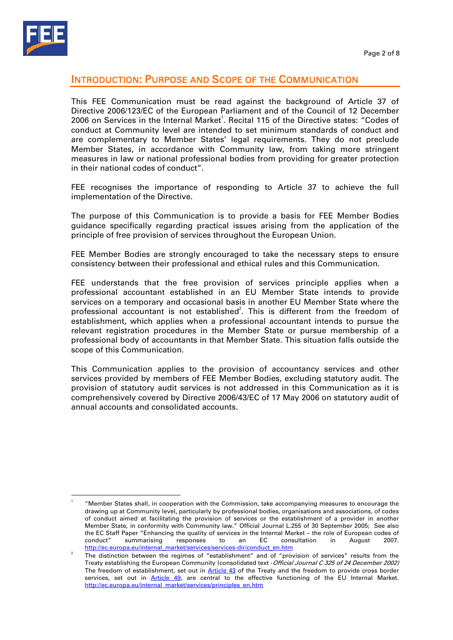

### INTRODUCTION: PURPOSE AND SCOPE OF THE COMMUNICATION

This FEE Communication must be read against the background of Article 37 of Directive 2006/123/EC of the European Parliament and of the Council of 12 December 2006 on Services in the Internal Market<sup>1</sup>. Recital 115 of the Directive states: "Codes of conduct at Community level are intended to set minimum standards of conduct and are complementary to Member States' legal requirements. They do not preclude Member States, in accordance with Community law, from taking more stringent measures in law or national professional bodies from providing for greater protection in their national codes of conduct".

FEE recognises the importance of responding to Article 37 to achieve the full implementation of the Directive.

The purpose of this Communication is to provide a basis for FEE Member Bodies guidance specifically regarding practical issues arising from the application of the principle of free provision of services throughout the European Union.

FEE Member Bodies are strongly encouraged to take the necessary steps to ensure consistency between their professional and ethical rules and this Communication.

FEE understands that the free provision of services principle applies when a professional accountant established in an EU Member State intends to provide services on a temporary and occasional basis in another EU Member State where the professional accountant is not established<sup>2</sup>. This is different from the freedom of establishment, which applies when a professional accountant intends to pursue the relevant registration procedures in the Member State or pursue membership of a professional body of accountants in that Member State. This situation falls outside the scope of this Communication.

This Communication applies to the provision of accountancy services and other services provided by members of FEE Member Bodies, excluding statutory audit. The provision of statutory audit services is not addressed in this Communication as it is comprehensively covered by Directive 2006/43/EC of 17 May 2006 on statutory audit of annual accounts and consolidated accounts.

<sup>1</sup> "Member States shall, in cooperation with the Commission, take accompanying measures to encourage the drawing up at Community level, particularly by professional bodies, organisations and associations, of codes of conduct aimed at facilitating the provision of services or the establishment of a provider in another Member State, in conformity with Community law." Official Journal L.255 of 30 September 2005; See also the EC Staff Paper "Enhancing the quality of services in the Internal Market – the role of European codes of conduct" summarising responses to an EC consultation in August 2007. http://ec.europa.eu/internal\_market/services/services-dir/conduct\_en.htm

The distinction between the regimes of "establishment" and of "provision of services" results from the Treaty establishing the European Community (consolidated text - Official Journal C 325 of 24 December 2002) The freedom of establishment, set out in Article 43 of the Treaty and the freedom to provide cross border services, set out in Article 49, are central to the effective functioning of the EU Internal Market. http://ec.europa.eu/internal\_market/services/principles\_en.htm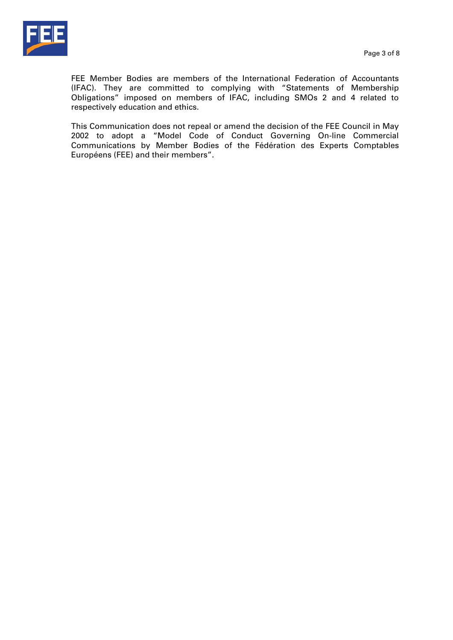

FEE Member Bodies are members of the International Federation of Accountants (IFAC). They are committed to complying with "Statements of Membership Obligations" imposed on members of IFAC, including SMOs 2 and 4 related to respectively education and ethics.

This Communication does not repeal or amend the decision of the FEE Council in May 2002 to adopt a "Model Code of Conduct Governing On-line Commercial Communications by Member Bodies of the Fédération des Experts Comptables Européens (FEE) and their members".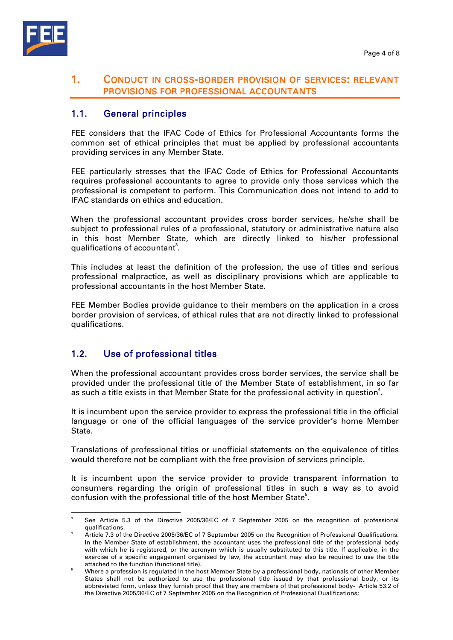

### 1. CONDUCT IN CROSS-BORDER PROVISION OF SERVICES: RELEVANT PROVISIONS FOR PROFESSIONAL ACCOUNTANTS

## 1.1. General principles

FEE considers that the IFAC Code of Ethics for Professional Accountants forms the common set of ethical principles that must be applied by professional accountants providing services in any Member State.

FEE particularly stresses that the IFAC Code of Ethics for Professional Accountants requires professional accountants to agree to provide only those services which the professional is competent to perform. This Communication does not intend to add to IFAC standards on ethics and education.

When the professional accountant provides cross border services, he/she shall be subject to professional rules of a professional, statutory or administrative nature also in this host Member State, which are directly linked to his/her professional qualifications of accountant $^3$ .

This includes at least the definition of the profession, the use of titles and serious professional malpractice, as well as disciplinary provisions which are applicable to professional accountants in the host Member State.

FEE Member Bodies provide guidance to their members on the application in a cross border provision of services, of ethical rules that are not directly linked to professional qualifications.

## 1.2. Use of professional titles

When the professional accountant provides cross border services, the service shall be provided under the professional title of the Member State of establishment, in so far as such a title exists in that Member State for the professional activity in question $^4$ .

It is incumbent upon the service provider to express the professional title in the official language or one of the official languages of the service provider's home Member State.

Translations of professional titles or unofficial statements on the equivalence of titles would therefore not be compliant with the free provision of services principle.

It is incumbent upon the service provider to provide transparent information to consumers regarding the origin of professional titles in such a way as to avoid confusion with the professional title of the host Member State<sup>5</sup>.

 3 See Article 5.3 of the Directive 2005/36/EC of 7 September 2005 on the recognition of professional qualifications. 4

Article 7.3 of the Directive 2005/36/EC of 7 September 2005 on the Recognition of Professional Qualifications. In the Member State of establishment, the accountant uses the professional title of the professional body with which he is registered, or the acronym which is usually substituted to this title. If applicable, in the exercise of a specific engagement organised by law, the accountant may also be required to use the title attached to the function (functional title). 5

Where a profession is regulated in the host Member State by a professional body, nationals of other Member States shall not be authorized to use the professional title issued by that professional body, or its abbreviated form, unless they furnish proof that they are members of that professional body- Article 53.2 of the Directive 2005/36/EC of 7 September 2005 on the Recognition of Professional Qualifications;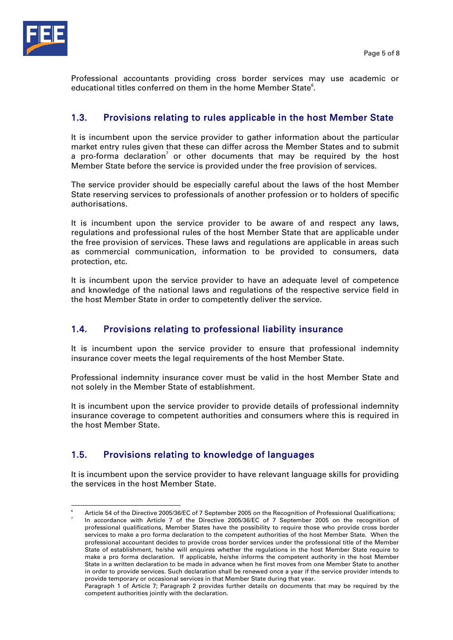

Professional accountants providing cross border services may use academic or educational titles conferred on them in the home Member State $^{\rm 6}.$ 

### 1.3. Provisions relating to rules applicable in the host Member State

It is incumbent upon the service provider to gather information about the particular market entry rules given that these can differ across the Member States and to submit a pro-forma declaration<sup>7</sup> or other documents that may be required by the host Member State before the service is provided under the free provision of services.

The service provider should be especially careful about the laws of the host Member State reserving services to professionals of another profession or to holders of specific authorisations.

It is incumbent upon the service provider to be aware of and respect any laws, regulations and professional rules of the host Member State that are applicable under the free provision of services. These laws and regulations are applicable in areas such as commercial communication, information to be provided to consumers, data protection, etc.

It is incumbent upon the service provider to have an adequate level of competence and knowledge of the national laws and regulations of the respective service field in the host Member State in order to competently deliver the service.

### 1.4. Provisions relating to professional liability insurance

It is incumbent upon the service provider to ensure that professional indemnity insurance cover meets the legal requirements of the host Member State.

Professional indemnity insurance cover must be valid in the host Member State and not solely in the Member State of establishment.

It is incumbent upon the service provider to provide details of professional indemnity insurance coverage to competent authorities and consumers where this is required in the host Member State.

## 1.5. Provisions relating to knowledge of languages

It is incumbent upon the service provider to have relevant language skills for providing the services in the host Member State.

l 6 Article 54 of the Directive 2005/36/EC of 7 September 2005 on the Recognition of Professional Qualifications; 7 In accordance with Article 7 of the Directive 2005/36/EC of 7 September 2005 on the recognition of

professional qualifications, Member States have the possibility to require those who provide cross border services to make a pro forma declaration to the competent authorities of the host Member State. When the professional accountant decides to provide cross border services under the professional title of the Member State of establishment, he/she will enquires whether the regulations in the host Member State require to make a pro forma declaration. If applicable, he/she informs the competent authority in the host Member State in a written declaration to be made in advance when he first moves from one Member State to another in order to provide services. Such declaration shall be renewed once a year if the service provider intends to provide temporary or occasional services in that Member State during that year.

Paragraph 1 of Article 7; Paragraph 2 provides further details on documents that may be required by the competent authorities jointly with the declaration.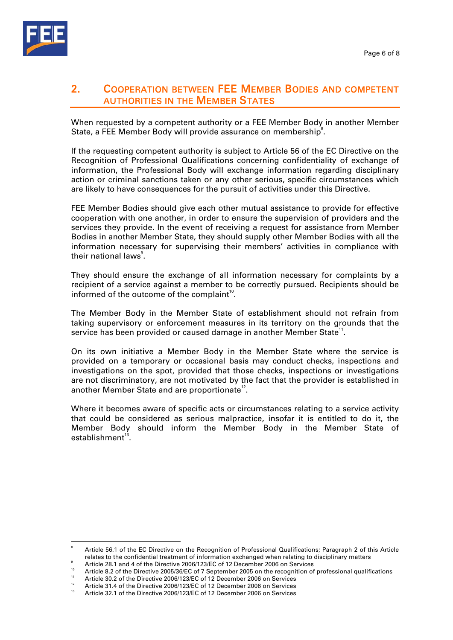

## 2. COOPERATION BETWEEN FEE MEMBER BODIES AND COMPETENT AUTHORITIES IN THE MEMBER STATES

When requested by a competent authority or a FEE Member Body in another Member State, a FEE Member Body will provide assurance on membership<sup>8</sup>.

If the requesting competent authority is subject to Article 56 of the EC Directive on the Recognition of Professional Qualifications concerning confidentiality of exchange of information, the Professional Body will exchange information regarding disciplinary action or criminal sanctions taken or any other serious, specific circumstances which are likely to have consequences for the pursuit of activities under this Directive.

FEE Member Bodies should give each other mutual assistance to provide for effective cooperation with one another, in order to ensure the supervision of providers and the services they provide. In the event of receiving a request for assistance from Member Bodies in another Member State, they should supply other Member Bodies with all the information necessary for supervising their members' activities in compliance with their national laws<sup>9</sup>.

They should ensure the exchange of all information necessary for complaints by a recipient of a service against a member to be correctly pursued. Recipients should be informed of the outcome of the complaint<sup>10</sup>.

The Member Body in the Member State of establishment should not refrain from taking supervisory or enforcement measures in its territory on the grounds that the service has been provided or caused damage in another Member State $^{\rm 11}.$ 

On its own initiative a Member Body in the Member State where the service is provided on a temporary or occasional basis may conduct checks, inspections and investigations on the spot, provided that those checks, inspections or investigations are not discriminatory, are not motivated by the fact that the provider is established in another Member State and are proportionate<sup>12</sup>.

Where it becomes aware of specific acts or circumstances relating to a service activity that could be considered as serious malpractice, insofar it is entitled to do it, the Member Body should inform the Member Body in the Member State of establishment $13$ .

<sup>8</sup> Article 56.1 of the EC Directive on the Recognition of Professional Qualifications; Paragraph 2 of this Article relates to the confidential treatment of information exchanged when relating to disciplinary matters

Article 28.1 and 4 of the Directive 2006/123/EC of 12 December 2006 on Services

<sup>&</sup>lt;sup>10</sup> Article 8.2 of the Directive 2005/36/EC of 7 September 2005 on the recognition of professional qualifications

<sup>&</sup>lt;sup>11</sup> Article 30.2 of the Directive 2006/123/EC of 12 December 2006 on Services

<sup>12</sup> Article 31.4 of the Directive 2006/123/EC of 12 December 2006 on Services Article 32.1 of the Directive 2006/123/EC of 12 December 2006 on Services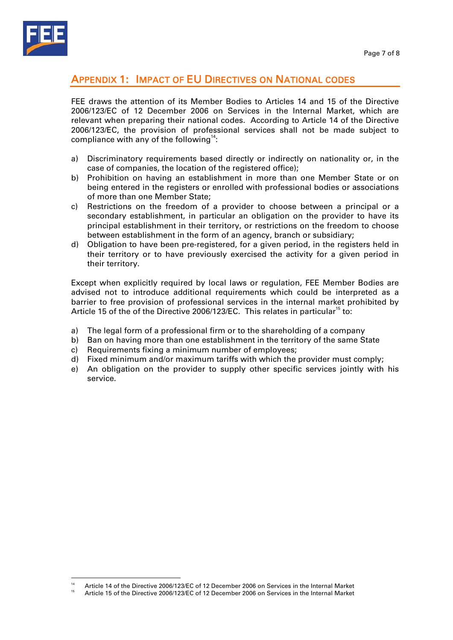

## APPENDIX 1: IMPACT OF EU DIRECTIVES ON NATIONAL CODES

FEE draws the attention of its Member Bodies to Articles 14 and 15 of the Directive 2006/123/EC of 12 December 2006 on Services in the Internal Market, which are relevant when preparing their national codes. According to Article 14 of the Directive 2006/123/EC, the provision of professional services shall not be made subject to compliance with any of the following<sup>14</sup>:

- a) Discriminatory requirements based directly or indirectly on nationality or, in the case of companies, the location of the registered office);
- b) Prohibition on having an establishment in more than one Member State or on being entered in the registers or enrolled with professional bodies or associations of more than one Member State;
- c) Restrictions on the freedom of a provider to choose between a principal or a secondary establishment, in particular an obligation on the provider to have its principal establishment in their territory, or restrictions on the freedom to choose between establishment in the form of an agency, branch or subsidiary;
- d) Obligation to have been pre-registered, for a given period, in the registers held in their territory or to have previously exercised the activity for a given period in their territory.

Except when explicitly required by local laws or regulation, FEE Member Bodies are advised not to introduce additional requirements which could be interpreted as a barrier to free provision of professional services in the internal market prohibited by Article 15 of the of the Directive 2006/123/EC. This relates in particular<sup>15</sup> to:

- a) The legal form of a professional firm or to the shareholding of a company
- b) Ban on having more than one establishment in the territory of the same State
- c) Requirements fixing a minimum number of employees;
- d) Fixed minimum and/or maximum tariffs with which the provider must comply;
- e) An obligation on the provider to supply other specific services jointly with his service.

<sup>14</sup> Article 14 of the Directive 2006/123/EC of 12 December 2006 on Services in the Internal Market

<sup>15</sup> Article 15 of the Directive 2006/123/EC of 12 December 2006 on Services in the Internal Market